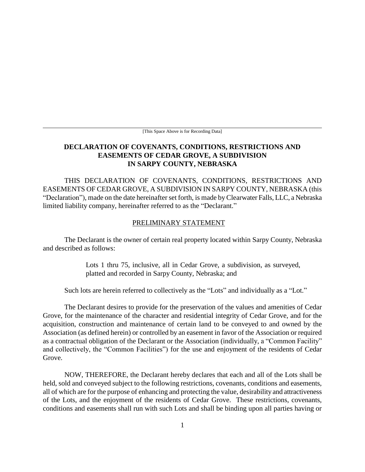[This Space Above is for Recording Data]

## **DECLARATION OF COVENANTS, CONDITIONS, RESTRICTIONS AND EASEMENTS OF CEDAR GROVE, A SUBDIVISION IN SARPY COUNTY, NEBRASKA**

THIS DECLARATION OF COVENANTS, CONDITIONS, RESTRICTIONS AND EASEMENTS OF CEDAR GROVE, A SUBDIVISION IN SARPY COUNTY, NEBRASKA (this "Declaration"), made on the date hereinafter set forth, is made by Clearwater Falls, LLC, a Nebraska limited liability company, hereinafter referred to as the "Declarant."

#### PRELIMINARY STATEMENT

The Declarant is the owner of certain real property located within Sarpy County, Nebraska and described as follows:

> Lots 1 thru 75, inclusive, all in Cedar Grove, a subdivision, as surveyed, platted and recorded in Sarpy County, Nebraska; and

Such lots are herein referred to collectively as the "Lots" and individually as a "Lot."

The Declarant desires to provide for the preservation of the values and amenities of Cedar Grove, for the maintenance of the character and residential integrity of Cedar Grove, and for the acquisition, construction and maintenance of certain land to be conveyed to and owned by the Association (as defined herein) or controlled by an easement in favor of the Association or required as a contractual obligation of the Declarant or the Association (individually, a "Common Facility" and collectively, the "Common Facilities") for the use and enjoyment of the residents of Cedar Grove.

NOW, THEREFORE, the Declarant hereby declares that each and all of the Lots shall be held, sold and conveyed subject to the following restrictions, covenants, conditions and easements, all of which are for the purpose of enhancing and protecting the value, desirability and attractiveness of the Lots, and the enjoyment of the residents of Cedar Grove. These restrictions, covenants, conditions and easements shall run with such Lots and shall be binding upon all parties having or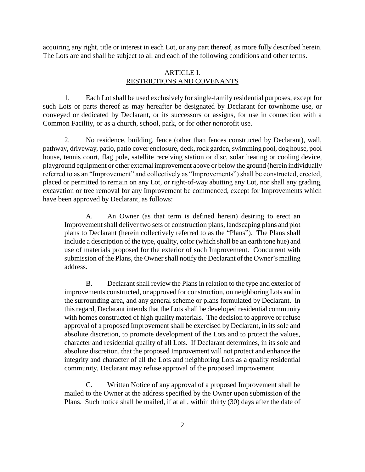acquiring any right, title or interest in each Lot, or any part thereof, as more fully described herein. The Lots are and shall be subject to all and each of the following conditions and other terms.

## ARTICLE I. RESTRICTIONS AND COVENANTS

1. Each Lot shall be used exclusively for single-family residential purposes, except for such Lots or parts thereof as may hereafter be designated by Declarant for townhome use, or conveyed or dedicated by Declarant, or its successors or assigns, for use in connection with a Common Facility, or as a church, school, park, or for other nonprofit use.

2. No residence, building, fence (other than fences constructed by Declarant), wall, pathway, driveway, patio, patio cover enclosure, deck, rock garden, swimming pool, dog house, pool house, tennis court, flag pole, satellite receiving station or disc, solar heating or cooling device, playground equipment or other external improvement above or below the ground (herein individually referred to as an "Improvement" and collectively as "Improvements") shall be constructed, erected, placed or permitted to remain on any Lot, or right-of-way abutting any Lot, nor shall any grading, excavation or tree removal for any Improvement be commenced, except for Improvements which have been approved by Declarant, as follows:

A. An Owner (as that term is defined herein) desiring to erect an Improvement shall deliver two sets of construction plans, landscaping plans and plot plans to Declarant (herein collectively referred to as the "Plans"). The Plans shall include a description of the type, quality, color (which shall be an earth tone hue) and use of materials proposed for the exterior of such Improvement. Concurrent with submission of the Plans, the Owner shall notify the Declarant of the Owner's mailing address.

B. Declarant shall review the Plans in relation to the type and exterior of improvements constructed, or approved for construction, on neighboring Lots and in the surrounding area, and any general scheme or plans formulated by Declarant. In this regard, Declarant intends that the Lots shall be developed residential community with homes constructed of high quality materials. The decision to approve or refuse approval of a proposed Improvement shall be exercised by Declarant, in its sole and absolute discretion, to promote development of the Lots and to protect the values, character and residential quality of all Lots. If Declarant determines, in its sole and absolute discretion, that the proposed Improvement will not protect and enhance the integrity and character of all the Lots and neighboring Lots as a quality residential community, Declarant may refuse approval of the proposed Improvement.

C. Written Notice of any approval of a proposed Improvement shall be mailed to the Owner at the address specified by the Owner upon submission of the Plans. Such notice shall be mailed, if at all, within thirty (30) days after the date of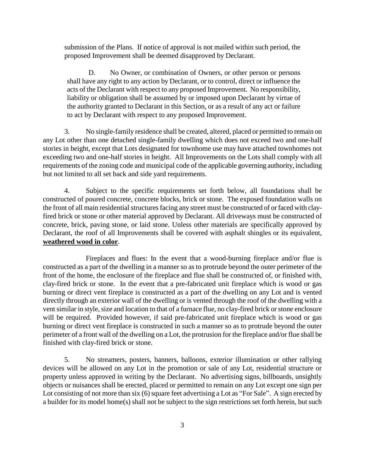submission of the Plans. If notice of approval is not mailed within such period, the proposed Improvement shall be deemed disapproved by Declarant.

D. No Owner, or combination of Owners, or other person or persons shall have any right to any action by Declarant, or to control, direct or influence the acts of the Declarant with respect to any proposed Improvement. No responsibility, liability or obligation shall be assumed by or imposed upon Declarant by virtue of the authority granted to Declarant in this Section, or as a result of any act or failure to act by Declarant with respect to any proposed Improvement.

3. No single-family residence shall be created, altered, placed or permitted to remain on any Lot other than one detached single-family dwelling which does not exceed two and one-half stories in height, except that Lots designated for townhome use may have attached townhomes not exceeding two and one-half stories in height. All Improvements on the Lots shall comply with all requirements of the zoning code and municipal code of the applicable governing authority, including but not limited to all set back and side yard requirements.

4. Subject to the specific requirements set forth below, all foundations shall be constructed of poured concrete, concrete blocks, brick or stone. The exposed foundation walls on the front of all main residential structures facing any street must be constructed of or faced with clayfired brick or stone or other material approved by Declarant. All driveways must be constructed of concrete, brick, paving stone, or laid stone. Unless other materials are specifically approved by Declarant, the roof of all Improvements shall be covered with asphalt shingles or its equivalent, **weathered wood in color**.

Fireplaces and flues: In the event that a wood-burning fireplace and/or flue is constructed as a part of the dwelling in a manner so as to protrude beyond the outer perimeter of the front of the home, the enclosure of the fireplace and flue shall be constructed of, or finished with, clay-fired brick or stone. In the event that a pre-fabricated unit fireplace which is wood or gas burning or direct vent fireplace is constructed as a part of the dwelling on any Lot and is vented directly through an exterior wall of the dwelling or is vented through the roof of the dwelling with a vent similar in style, size and location to that of a furnace flue, no clay-fired brick or stone enclosure will be required. Provided however, if said pre-fabricated unit fireplace which is wood or gas burning or direct vent fireplace is constructed in such a manner so as to protrude beyond the outer perimeter of a front wall of the dwelling on a Lot, the protrusion for the fireplace and/or flue shall be finished with clay-fired brick or stone.

5. No streamers, posters, banners, balloons, exterior illumination or other rallying devices will be allowed on any Lot in the promotion or sale of any Lot, residential structure or property unless approved in writing by the Declarant. No advertising signs, billboards, unsightly objects or nuisances shall be erected, placed or permitted to remain on any Lot except one sign per Lot consisting of not more than six (6) square feet advertising a Lot as "For Sale". A sign erected by a builder for its model home(s) shall not be subject to the sign restrictions set forth herein, but such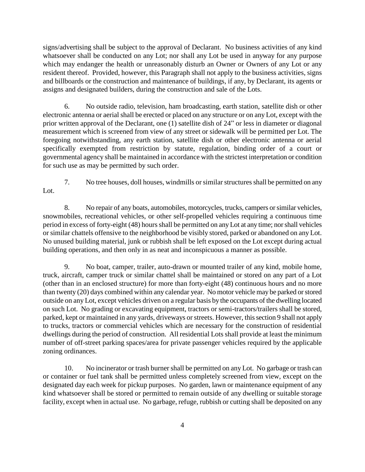signs/advertising shall be subject to the approval of Declarant. No business activities of any kind whatsoever shall be conducted on any Lot; nor shall any Lot be used in anyway for any purpose which may endanger the health or unreasonably disturb an Owner or Owners of any Lot or any resident thereof. Provided, however, this Paragraph shall not apply to the business activities, signs and billboards or the construction and maintenance of buildings, if any, by Declarant, its agents or assigns and designated builders, during the construction and sale of the Lots.

6. No outside radio, television, ham broadcasting, earth station, satellite dish or other electronic antenna or aerial shall be erected or placed on any structure or on any Lot, except with the prior written approval of the Declarant, one (1) satellite dish of 24" or less in diameter or diagonal measurement which is screened from view of any street or sidewalk will be permitted per Lot. The foregoing notwithstanding, any earth station, satellite dish or other electronic antenna or aerial specifically exempted from restriction by statute, regulation, binding order of a court or governmental agency shall be maintained in accordance with the strictest interpretation or condition for such use as may be permitted by such order.

7. No tree houses, doll houses, windmills or similar structures shall be permitted on any Lot.

8. No repair of any boats, automobiles, motorcycles, trucks, campers or similar vehicles, snowmobiles, recreational vehicles, or other self-propelled vehicles requiring a continuous time period in excess of forty-eight (48) hours shall be permitted on any Lot at any time; nor shall vehicles or similar chattels offensive to the neighborhood be visibly stored, parked or abandoned on any Lot. No unused building material, junk or rubbish shall be left exposed on the Lot except during actual building operations, and then only in as neat and inconspicuous a manner as possible.

9. No boat, camper, trailer, auto-drawn or mounted trailer of any kind, mobile home, truck, aircraft, camper truck or similar chattel shall be maintained or stored on any part of a Lot (other than in an enclosed structure) for more than forty-eight (48) continuous hours and no more than twenty (20) days combined within any calendar year. No motor vehicle may be parked or stored outside on any Lot, except vehicles driven on a regular basis by the occupants of the dwelling located on such Lot. No grading or excavating equipment, tractors or semi-tractors/trailers shall be stored, parked, kept or maintained in any yards, driveways or streets. However, this section 9 shall not apply to trucks, tractors or commercial vehicles which are necessary for the construction of residential dwellings during the period of construction. All residential Lots shall provide at least the minimum number of off-street parking spaces/area for private passenger vehicles required by the applicable zoning ordinances.

10. No incinerator or trash burner shall be permitted on any Lot. No garbage or trash can or container or fuel tank shall be permitted unless completely screened from view, except on the designated day each week for pickup purposes. No garden, lawn or maintenance equipment of any kind whatsoever shall be stored or permitted to remain outside of any dwelling or suitable storage facility, except when in actual use. No garbage, refuge, rubbish or cutting shall be deposited on any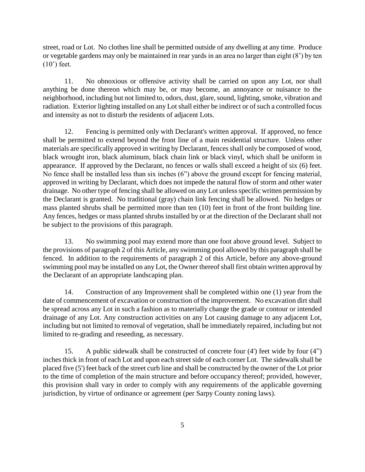street, road or Lot. No clothes line shall be permitted outside of any dwelling at any time. Produce or vegetable gardens may only be maintained in rear yards in an area no larger than eight (8') by ten (10') feet.

11. No obnoxious or offensive activity shall be carried on upon any Lot, nor shall anything be done thereon which may be, or may become, an annoyance or nuisance to the neighborhood, including but not limited to, odors, dust, glare, sound, lighting, smoke, vibration and radiation. Exterior lighting installed on any Lot shall either be indirect or of such a controlled focus and intensity as not to disturb the residents of adjacent Lots.

12. Fencing is permitted only with Declarant's written approval. If approved, no fence shall be permitted to extend beyond the front line of a main residential structure. Unless other materials are specifically approved in writing by Declarant, fences shall only be composed of wood, black wrought iron, black aluminum, black chain link or black vinyl, which shall be uniform in appearance. If approved by the Declarant, no fences or walls shall exceed a height of six (6) feet. No fence shall be installed less than six inches (6") above the ground except for fencing material, approved in writing by Declarant, which does not impede the natural flow of storm and other water drainage. No other type of fencing shall be allowed on any Lot unless specific written permission by the Declarant is granted. No traditional (gray) chain link fencing shall be allowed. No hedges or mass planted shrubs shall be permitted more than ten (10) feet in front of the front building line. Any fences, hedges or mass planted shrubs installed by or at the direction of the Declarant shall not be subject to the provisions of this paragraph.

13. No swimming pool may extend more than one foot above ground level. Subject to the provisions of paragraph 2 of this Article, any swimming pool allowed by this paragraph shall be fenced. In addition to the requirements of paragraph 2 of this Article, before any above-ground swimming pool may be installed on any Lot, the Owner thereof shall first obtain written approval by the Declarant of an appropriate landscaping plan.

14. Construction of any Improvement shall be completed within one (1) year from the date of commencement of excavation or construction of the improvement. No excavation dirt shall be spread across any Lot in such a fashion as to materially change the grade or contour or intended drainage of any Lot. Any construction activities on any Lot causing damage to any adjacent Lot, including but not limited to removal of vegetation, shall be immediately repaired, including but not limited to re-grading and reseeding, as necessary.

15. A public sidewalk shall be constructed of concrete four (4') feet wide by four (4") inches thick in front of each Lot and upon each street side of each corner Lot. The sidewalk shall be placed five (5') feet back of the street curb line and shall be constructed by the owner of the Lot prior to the time of completion of the main structure and before occupancy thereof; provided, however, this provision shall vary in order to comply with any requirements of the applicable governing jurisdiction, by virtue of ordinance or agreement (per Sarpy County zoning laws).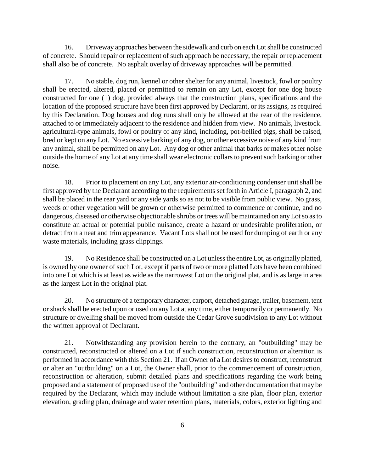16. Driveway approaches between the sidewalk and curb on each Lot shall be constructed of concrete. Should repair or replacement of such approach be necessary, the repair or replacement shall also be of concrete. No asphalt overlay of driveway approaches will be permitted.

17. No stable, dog run, kennel or other shelter for any animal, livestock, fowl or poultry shall be erected, altered, placed or permitted to remain on any Lot, except for one dog house constructed for one (1) dog, provided always that the construction plans, specifications and the location of the proposed structure have been first approved by Declarant, or its assigns, as required by this Declaration. Dog houses and dog runs shall only be allowed at the rear of the residence, attached to or immediately adjacent to the residence and hidden from view. No animals, livestock. agricultural-type animals, fowl or poultry of any kind, including, pot-bellied pigs, shall be raised, bred or kept on any Lot. No excessive barking of any dog, or other excessive noise of any kind from any animal, shall be permitted on any Lot. Any dog or other animal that barks or makes other noise outside the home of any Lot at any time shall wear electronic collars to prevent such barking or other noise.

18. Prior to placement on any Lot, any exterior air-conditioning condenser unit shall be first approved by the Declarant according to the requirements set forth in Article I, paragraph 2, and shall be placed in the rear yard or any side yards so as not to be visible from public view. No grass, weeds or other vegetation will be grown or otherwise permitted to commence or continue, and no dangerous, diseased or otherwise objectionable shrubs or trees will be maintained on any Lot so as to constitute an actual or potential public nuisance, create a hazard or undesirable proliferation, or detract from a neat and trim appearance. Vacant Lots shall not be used for dumping of earth or any waste materials, including grass clippings.

19. No Residence shall be constructed on a Lot unless the entire Lot, as originally platted, is owned by one owner of such Lot, except if parts of two or more platted Lots have been combined into one Lot which is at least as wide as the narrowest Lot on the original plat, and is as large in area as the largest Lot in the original plat.

20. No structure of a temporary character, carport, detached garage, trailer, basement, tent or shack shall be erected upon or used on any Lot at any time, either temporarily or permanently. No structure or dwelling shall be moved from outside the Cedar Grove subdivision to any Lot without the written approval of Declarant.

21. Notwithstanding any provision herein to the contrary, an "outbuilding" may be constructed, reconstructed or altered on a Lot if such construction, reconstruction or alteration is performed in accordance with this Section 21. If an Owner of a Lot desires to construct, reconstruct or alter an "outbuilding" on a Lot, the Owner shall, prior to the commencement of construction, reconstruction or alteration, submit detailed plans and specifications regarding the work being proposed and a statement of proposed use of the "outbuilding" and other documentation that may be required by the Declarant, which may include without limitation a site plan, floor plan, exterior elevation, grading plan, drainage and water retention plans, materials, colors, exterior lighting and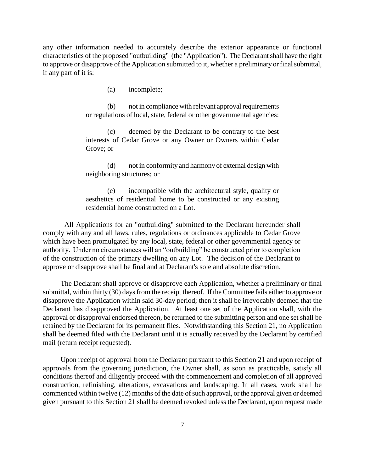any other information needed to accurately describe the exterior appearance or functional characteristics of the proposed "outbuilding" (the "Application"). The Declarant shall have the right to approve or disapprove of the Application submitted to it, whether a preliminary or final submittal, if any part of it is:

(a) incomplete;

(b) not in compliance with relevant approval requirements or regulations of local, state, federal or other governmental agencies;

(c) deemed by the Declarant to be contrary to the best interests of Cedar Grove or any Owner or Owners within Cedar Grove; or

(d) not in conformity and harmony of external design with neighboring structures; or

(e) incompatible with the architectural style, quality or aesthetics of residential home to be constructed or any existing residential home constructed on a Lot.

All Applications for an "outbuilding" submitted to the Declarant hereunder shall comply with any and all laws, rules, regulations or ordinances applicable to Cedar Grove which have been promulgated by any local, state, federal or other governmental agency or authority. Under no circumstances will an "outbuilding" be constructed prior to completion of the construction of the primary dwelling on any Lot. The decision of the Declarant to approve or disapprove shall be final and at Declarant's sole and absolute discretion.

The Declarant shall approve or disapprove each Application, whether a preliminary or final submittal, within thirty (30) days from the receipt thereof. If the Committee fails either to approve or disapprove the Application within said 30-day period; then it shall be irrevocably deemed that the Declarant has disapproved the Application. At least one set of the Application shall, with the approval or disapproval endorsed thereon, be returned to the submitting person and one set shall be retained by the Declarant for its permanent files. Notwithstanding this Section 21, no Application shall be deemed filed with the Declarant until it is actually received by the Declarant by certified mail (return receipt requested).

Upon receipt of approval from the Declarant pursuant to this Section 21 and upon receipt of approvals from the governing jurisdiction, the Owner shall, as soon as practicable, satisfy all conditions thereof and diligently proceed with the commencement and completion of all approved construction, refinishing, alterations, excavations and landscaping. In all cases, work shall be commenced within twelve (12) months of the date of such approval, or the approval given or deemed given pursuant to this Section 21 shall be deemed revoked unless the Declarant, upon request made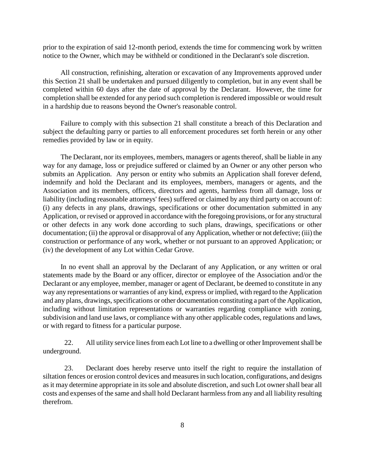prior to the expiration of said 12-month period, extends the time for commencing work by written notice to the Owner, which may be withheld or conditioned in the Declarant's sole discretion.

All construction, refinishing, alteration or excavation of any Improvements approved under this Section 21 shall be undertaken and pursued diligently to completion, but in any event shall be completed within 60 days after the date of approval by the Declarant. However, the time for completion shall be extended for any period such completion is rendered impossible or would result in a hardship due to reasons beyond the Owner's reasonable control.

Failure to comply with this subsection 21 shall constitute a breach of this Declaration and subject the defaulting parry or parties to all enforcement procedures set forth herein or any other remedies provided by law or in equity.

The Declarant, nor its employees, members, managers or agents thereof, shall be liable in any way for any damage, loss or prejudice suffered or claimed by an Owner or any other person who submits an Application. Any person or entity who submits an Application shall forever defend, indemnify and hold the Declarant and its employees, members, managers or agents, and the Association and its members, officers, directors and agents, harmless from all damage, loss or liability (including reasonable attorneys' fees) suffered or claimed by any third party on account of: (i) any defects in any plans, drawings, specifications or other documentation submitted in any Application, or revised or approved in accordance with the foregoing provisions, or for any structural or other defects in any work done according to such plans, drawings, specifications or other documentation; (ii) the approval or disapproval of any Application, whether or not defective; (iii) the construction or performance of any work, whether or not pursuant to an approved Application; or (iv) the development of any Lot within Cedar Grove.

In no event shall an approval by the Declarant of any Application, or any written or oral statements made by the Board or any officer, director or employee of the Association and/or the Declarant or any employee, member, manager or agent of Declarant, be deemed to constitute in any way any representations or warranties of any kind, express or implied, with regard to the Application and any plans, drawings, specifications or other documentation constituting a part of the Application, including without limitation representations or warranties regarding compliance with zoning, subdivision and land use laws, or compliance with any other applicable codes, regulations and laws, or with regard to fitness for a particular purpose.

22. All utility service lines from each Lot line to a dwelling or other Improvement shall be underground.

23. Declarant does hereby reserve unto itself the right to require the installation of siltation fences or erosion control devices and measures in such location, configurations, and designs as it may determine appropriate in its sole and absolute discretion, and such Lot owner shall bear all costs and expenses of the same and shall hold Declarant harmless from any and all liability resulting therefrom.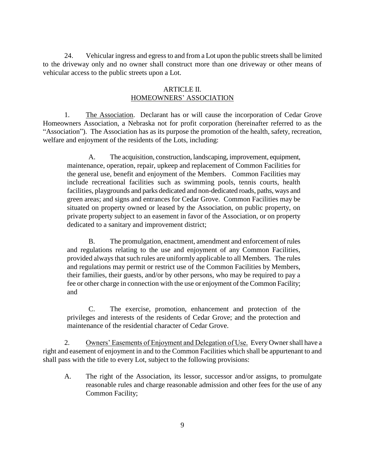24. Vehicular ingress and egress to and from a Lot upon the public streets shall be limited to the driveway only and no owner shall construct more than one driveway or other means of vehicular access to the public streets upon a Lot.

#### ARTICLE II. HOMEOWNERS' ASSOCIATION

1. The Association. Declarant has or will cause the incorporation of Cedar Grove Homeowners Association, a Nebraska not for profit corporation (hereinafter referred to as the "Association"). The Association has as its purpose the promotion of the health, safety, recreation, welfare and enjoyment of the residents of the Lots, including:

A. The acquisition, construction, landscaping, improvement, equipment, maintenance, operation, repair, upkeep and replacement of Common Facilities for the general use, benefit and enjoyment of the Members. Common Facilities may include recreational facilities such as swimming pools, tennis courts, health facilities, playgrounds and parks dedicated and non-dedicated roads, paths, ways and green areas; and signs and entrances for Cedar Grove. Common Facilities may be situated on property owned or leased by the Association, on public property, on private property subject to an easement in favor of the Association, or on property dedicated to a sanitary and improvement district;

B. The promulgation, enactment, amendment and enforcement of rules and regulations relating to the use and enjoyment of any Common Facilities, provided always that such rules are uniformly applicable to all Members. The rules and regulations may permit or restrict use of the Common Facilities by Members, their families, their guests, and/or by other persons, who may be required to pay a fee or other charge in connection with the use or enjoyment of the Common Facility; and

C. The exercise, promotion, enhancement and protection of the privileges and interests of the residents of Cedar Grove; and the protection and maintenance of the residential character of Cedar Grove.

2. Owners' Easements of Enjoyment and Delegation of Use. Every Owner shall have a right and easement of enjoyment in and to the Common Facilities which shall be appurtenant to and shall pass with the title to every Lot, subject to the following provisions:

A. The right of the Association, its lessor, successor and/or assigns, to promulgate reasonable rules and charge reasonable admission and other fees for the use of any Common Facility;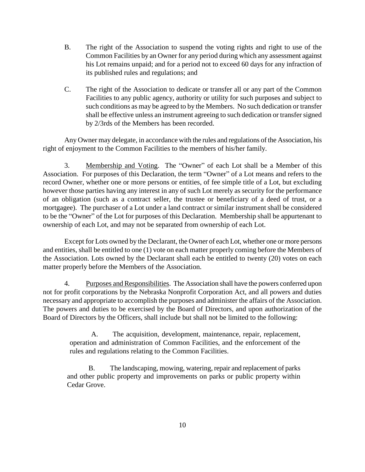- B. The right of the Association to suspend the voting rights and right to use of the Common Facilities by an Owner for any period during which any assessment against his Lot remains unpaid; and for a period not to exceed 60 days for any infraction of its published rules and regulations; and
- C. The right of the Association to dedicate or transfer all or any part of the Common Facilities to any public agency, authority or utility for such purposes and subject to such conditions as may be agreed to by the Members. No such dedication or transfer shall be effective unless an instrument agreeing to such dedication or transfer signed by 2/3rds of the Members has been recorded.

Any Owner may delegate, in accordance with the rules and regulations of the Association, his right of enjoyment to the Common Facilities to the members of his/her family.

3. Membership and Voting. The "Owner" of each Lot shall be a Member of this Association. For purposes of this Declaration, the term "Owner" of a Lot means and refers to the record Owner, whether one or more persons or entities, of fee simple title of a Lot, but excluding however those parties having any interest in any of such Lot merely as security for the performance of an obligation (such as a contract seller, the trustee or beneficiary of a deed of trust, or a mortgagee). The purchaser of a Lot under a land contract or similar instrument shall be considered to be the "Owner" of the Lot for purposes of this Declaration. Membership shall be appurtenant to ownership of each Lot, and may not be separated from ownership of each Lot.

Except for Lots owned by the Declarant, the Owner of each Lot, whether one or more persons and entities, shall be entitled to one (1) vote on each matter properly coming before the Members of the Association. Lots owned by the Declarant shall each be entitled to twenty (20) votes on each matter properly before the Members of the Association.

4. Purposes and Responsibilities. The Association shall have the powers conferred upon not for profit corporations by the Nebraska Nonprofit Corporation Act, and all powers and duties necessary and appropriate to accomplish the purposes and administer the affairs of the Association. The powers and duties to be exercised by the Board of Directors, and upon authorization of the Board of Directors by the Officers, shall include but shall not be limited to the following:

A. The acquisition, development, maintenance, repair, replacement, operation and administration of Common Facilities, and the enforcement of the rules and regulations relating to the Common Facilities.

B. The landscaping, mowing, watering, repair and replacement of parks and other public property and improvements on parks or public property within Cedar Grove.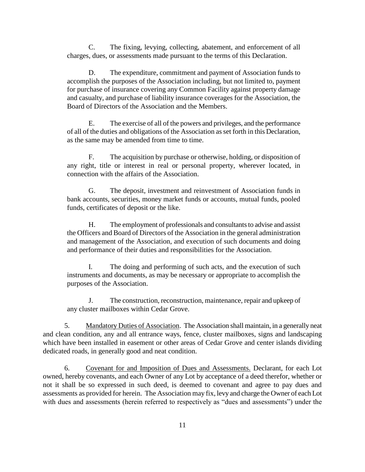C. The fixing, levying, collecting, abatement, and enforcement of all charges, dues, or assessments made pursuant to the terms of this Declaration.

D. The expenditure, commitment and payment of Association funds to accomplish the purposes of the Association including, but not limited to, payment for purchase of insurance covering any Common Facility against property damage and casualty, and purchase of liability insurance coverages for the Association, the Board of Directors of the Association and the Members.

E. The exercise of all of the powers and privileges, and the performance of all of the duties and obligations of the Association as set forth in this Declaration, as the same may be amended from time to time.

F. The acquisition by purchase or otherwise, holding, or disposition of any right, title or interest in real or personal property, wherever located, in connection with the affairs of the Association.

G. The deposit, investment and reinvestment of Association funds in bank accounts, securities, money market funds or accounts, mutual funds, pooled funds, certificates of deposit or the like.

H. The employment of professionals and consultants to advise and assist the Officers and Board of Directors of the Association in the general administration and management of the Association, and execution of such documents and doing and performance of their duties and responsibilities for the Association.

I. The doing and performing of such acts, and the execution of such instruments and documents, as may be necessary or appropriate to accomplish the purposes of the Association.

J. The construction, reconstruction, maintenance, repair and upkeep of any cluster mailboxes within Cedar Grove.

5. Mandatory Duties of Association. The Association shall maintain, in a generally neat and clean condition, any and all entrance ways, fence, cluster mailboxes, signs and landscaping which have been installed in easement or other areas of Cedar Grove and center islands dividing dedicated roads, in generally good and neat condition.

6. Covenant for and Imposition of Dues and Assessments. Declarant, for each Lot owned, hereby covenants, and each Owner of any Lot by acceptance of a deed therefor, whether or not it shall be so expressed in such deed, is deemed to covenant and agree to pay dues and assessments as provided for herein. The Association may fix, levy and charge the Owner of each Lot with dues and assessments (herein referred to respectively as "dues and assessments") under the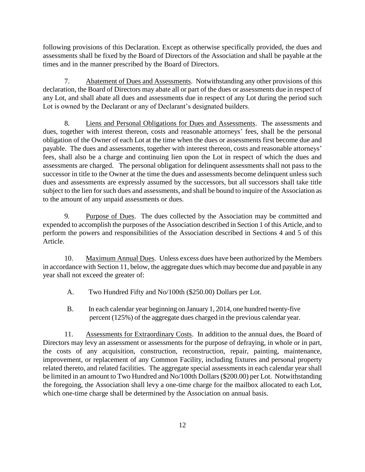following provisions of this Declaration. Except as otherwise specifically provided, the dues and assessments shall be fixed by the Board of Directors of the Association and shall be payable at the times and in the manner prescribed by the Board of Directors.

7. Abatement of Dues and Assessments. Notwithstanding any other provisions of this declaration, the Board of Directors may abate all or part of the dues or assessments due in respect of any Lot, and shall abate all dues and assessments due in respect of any Lot during the period such Lot is owned by the Declarant or any of Declarant's designated builders.

8. Liens and Personal Obligations for Dues and Assessments. The assessments and dues, together with interest thereon, costs and reasonable attorneys' fees, shall be the personal obligation of the Owner of each Lot at the time when the dues or assessments first become due and payable. The dues and assessments, together with interest thereon, costs and reasonable attorneys' fees, shall also be a charge and continuing lien upon the Lot in respect of which the dues and assessments are charged. The personal obligation for delinquent assessments shall not pass to the successor in title to the Owner at the time the dues and assessments become delinquent unless such dues and assessments are expressly assumed by the successors, but all successors shall take title subject to the lien for such dues and assessments, and shall be bound to inquire of the Association as to the amount of any unpaid assessments or dues.

9. Purpose of Dues. The dues collected by the Association may be committed and expended to accomplish the purposes of the Association described in Section 1 of this Article, and to perform the powers and responsibilities of the Association described in Sections 4 and 5 of this Article.

10. Maximum Annual Dues. Unless excess dues have been authorized by the Members in accordance with Section 11, below, the aggregate dues which may become due and payable in any year shall not exceed the greater of:

- A. Two Hundred Fifty and No/100th (\$250.00) Dollars per Lot.
- B. In each calendar year beginning on January 1, 2014, one hundred twenty-five percent (125%) of the aggregate dues charged in the previous calendar year.

11. Assessments for Extraordinary Costs. In addition to the annual dues, the Board of Directors may levy an assessment or assessments for the purpose of defraying, in whole or in part, the costs of any acquisition, construction, reconstruction, repair, painting, maintenance, improvement, or replacement of any Common Facility, including fixtures and personal property related thereto, and related facilities. The aggregate special assessments in each calendar year shall be limited in an amount to Two Hundred and No/100th Dollars (\$200.00) per Lot. Notwithstanding the foregoing, the Association shall levy a one-time charge for the mailbox allocated to each Lot, which one-time charge shall be determined by the Association on annual basis.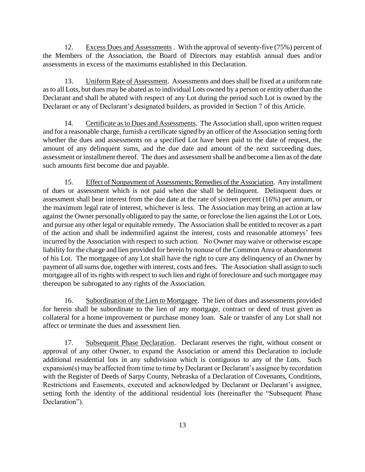12. Excess Dues and Assessments . With the approval of seventy-five (75%) percent of the Members of the Association, the Board of Directors may establish annual dues and/or assessments in excess of the maximums established in this Declaration.

13. Uniform Rate of Assessment. Assessments and dues shall be fixed at a uniform rate as to all Lots, but dues may be abated as to individual Lots owned by a person or entity other than the Declarant and shall be abated with respect of any Lot during the period such Lot is owned by the Declarant or any of Declarant's designated builders, as provided in Section 7 of this Article.

14. Certificate as to Dues and Assessments. The Association shall, upon written request and for a reasonable charge, furnish a certificate signed by an officer of the Association setting forth whether the dues and assessments on a specified Lot have been paid to the date of request, the amount of any delinquent sums, and the due date and amount of the next succeeding dues, assessment or installment thereof. The dues and assessment shall be and become a lien as of the date such amounts first become due and payable.

15. Effect of Nonpayment of Assessments; Remedies of the Association. Any installment of dues or assessment which is not paid when due shall be delinquent. Delinquent dues or assessment shall bear interest from the due date at the rate of sixteen percent (16%) per annum, or the maximum legal rate of interest, whichever is less. The Association may bring an action at law against the Owner personally obligated to pay the same, or foreclose the lien against the Lot or Lots, and pursue any other legal or equitable remedy. The Association shall be entitled to recover as a part of the action and shall be indemnified against the interest, costs and reasonable attorneys' fees incurred by the Association with respect to such action. No Owner may waive or otherwise escape liability for the charge and lien provided for herein by nonuse of the Common Area or abandonment of his Lot. The mortgagee of any Lot shall have the right to cure any delinquency of an Owner by payment of all sums due, together with interest, costs and fees. The Association shall assign to such mortgagee all of its rights with respect to such lien and right of foreclosure and such mortgagee may thereupon be subrogated to any rights of the Association.

16. Subordination of the Lien to Mortgagee. The lien of dues and assessments provided for herein shall be subordinate to the lien of any mortgage, contract or deed of trust given as collateral for a home improvement or purchase money loan. Sale or transfer of any Lot shall not affect or terminate the dues and assessment lien.

17. Subsequent Phase Declaration. Declarant reserves the right, without consent or approval of any other Owner, to expand the Association or amend this Declaration to include additional residential lots in any subdivision which is contiguous to any of the Lots. Such expansion(s) may be affected from time to time by Declarant or Declarant's assignee by recordation with the Register of Deeds of Sarpy County, Nebraska of a Declaration of Covenants, Conditions, Restrictions and Easements, executed and acknowledged by Declarant or Declarant's assignee, setting forth the identity of the additional residential lots (hereinafter the "Subsequent Phase Declaration").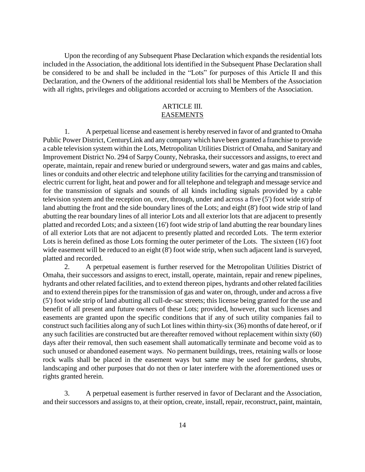Upon the recording of any Subsequent Phase Declaration which expands the residential lots included in the Association, the additional lots identified in the Subsequent Phase Declaration shall be considered to be and shall be included in the "Lots" for purposes of this Article II and this Declaration, and the Owners of the additional residential lots shall be Members of the Association with all rights, privileges and obligations accorded or accruing to Members of the Association.

## ARTICLE III. EASEMENTS

1. A perpetual license and easement is hereby reserved in favor of and granted to Omaha Public Power District, CenturyLink and any company which have been granted a franchise to provide a cable television system within the Lots, Metropolitan Utilities District of Omaha, and Sanitary and Improvement District No. 294 of SarpyCounty, Nebraska, their successors and assigns, to erect and operate, maintain, repair and renew buried or underground sewers, water and gas mains and cables, lines or conduits and other electric and telephone utility facilities for the carrying and transmission of electric current for light, heat and power and for all telephone and telegraph and message service and for the transmission of signals and sounds of all kinds including signals provided by a cable television system and the reception on, over, through, under and across a five (5') foot wide strip of land abutting the front and the side boundary lines of the Lots; and eight (8') foot wide strip of land abutting the rear boundary lines of all interior Lots and all exterior lots that are adjacent to presently platted and recorded Lots; and a sixteen (16') foot wide strip of land abutting the rear boundary lines of all exterior Lots that are not adjacent to presently platted and recorded Lots. The term exterior Lots is herein defined as those Lots forming the outer perimeter of the Lots. The sixteen (16') foot wide easement will be reduced to an eight (8') foot wide strip, when such adjacent land is surveyed, platted and recorded.

2. A perpetual easement is further reserved for the Metropolitan Utilities District of Omaha, their successors and assigns to erect, install, operate, maintain, repair and renew pipelines, hydrants and other related facilities, and to extend thereon pipes, hydrants and other related facilities and to extend therein pipes for the transmission of gas and water on, through, under and across a five (5') foot wide strip of land abutting all cull-de-sac streets; this license being granted for the use and benefit of all present and future owners of these Lots; provided, however, that such licenses and easements are granted upon the specific conditions that if any of such utility companies fail to construct such facilities along any of such Lot lines within thirty-six (36) months of date hereof, or if any such facilities are constructed but are thereafter removed without replacement within sixty (60) days after their removal, then such easement shall automatically terminate and become void as to such unused or abandoned easement ways. No permanent buildings, trees, retaining walls or loose rock walls shall be placed in the easement ways but same may be used for gardens, shrubs, landscaping and other purposes that do not then or later interfere with the aforementioned uses or rights granted herein.

3. A perpetual easement is further reserved in favor of Declarant and the Association, and their successors and assigns to, at their option, create, install, repair, reconstruct, paint, maintain,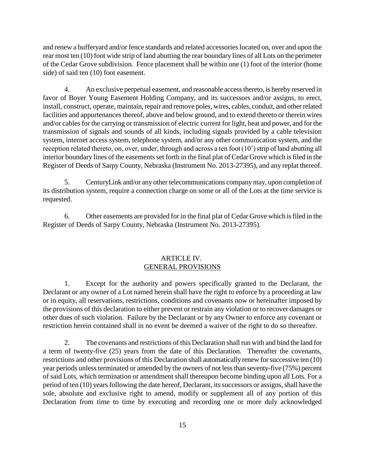and renew a bufferyard and/or fence standards and related accessories located on, over and upon the rear most ten (10) foot wide strip of land abutting the rear boundary lines of all Lots on the perimeter of the Cedar Grove subdivision. Fence placement shall be within one (1) foot of the interior (home side) of said ten (10) foot easement.

4. An exclusive perpetual easement, and reasonable access thereto, is hereby reserved in favor of Boyer Young Easement Holding Company, and its successors and/or assigns, to erect, install, construct, operate, maintain, repair and remove poles, wires, cables, conduit, and other related facilities and appurtenances thereof, above and below ground, and to extend thereto or therein wires and/or cables for the carrying or transmission of electric current for light, heat and power, and for the transmission of signals and sounds of all kinds, including signals provided by a cable television system, internet access system, telephone system, and/or any other communication system, and the reception related thereto, on, over, under, through and across a ten foot (10') strip of land abutting all interior boundary lines of the easements set forth in the final plat of Cedar Grove which is filed in the Register of Deeds of Sarpy County, Nebraska (Instrument No. 2013-27395), and any replat thereof.

5. CenturyLink and/or any other telecommunications company may, upon completion of its distribution system, require a connection charge on some or all of the Lots at the time service is requested.

6. Other easements are provided for in the final plat of Cedar Grove which is filed in the Register of Deeds of Sarpy County, Nebraska (Instrument No. 2013-27395).

## ARTICLE IV. GENERAL PROVISIONS

1. Except for the authority and powers specifically granted to the Declarant, the Declarant or any owner of a Lot named herein shall have the right to enforce by a proceeding at law or in equity, all reservations, restrictions, conditions and covenants now or hereinafter imposed by the provisions of this declaration to either prevent or restrain any violation or to recover damages or other dues of such violation. Failure by the Declarant or by any Owner to enforce any covenant or restriction herein contained shall in no event be deemed a waiver of the right to do so thereafter.

2. The covenants and restrictions of this Declaration shall run with and bind the land for a term of twenty-five (25) years from the date of this Declaration. Thereafter the covenants, restrictions and other provisions of this Declaration shall automatically renew for successive ten (10) year periods unless terminated or amended by the owners of not less than seventy-five (75%) percent of said Lots, which termination or amendment shall thereupon become binding upon all Lots. For a period of ten (10) years following the date hereof, Declarant, its successors or assigns, shall have the sole, absolute and exclusive right to amend, modify or supplement all of any portion of this Declaration from time to time by executing and recording one or more duly acknowledged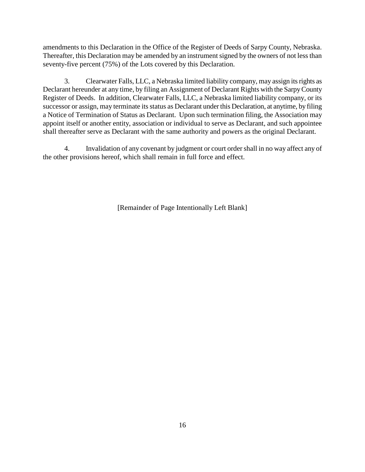amendments to this Declaration in the Office of the Register of Deeds of Sarpy County, Nebraska. Thereafter, this Declaration may be amended by an instrument signed by the owners of not less than seventy-five percent (75%) of the Lots covered by this Declaration.

3. Clearwater Falls, LLC, a Nebraska limited liability company, may assign its rights as Declarant hereunder at any time, by filing an Assignment of Declarant Rights with the Sarpy County Register of Deeds. In addition, Clearwater Falls, LLC, a Nebraska limited liability company, or its successor or assign, may terminate its status as Declarant under this Declaration, at anytime, by filing a Notice of Termination of Status as Declarant. Upon such termination filing, the Association may appoint itself or another entity, association or individual to serve as Declarant, and such appointee shall thereafter serve as Declarant with the same authority and powers as the original Declarant.

4. Invalidation of any covenant by judgment or court order shall in no way affect any of the other provisions hereof, which shall remain in full force and effect.

[Remainder of Page Intentionally Left Blank]